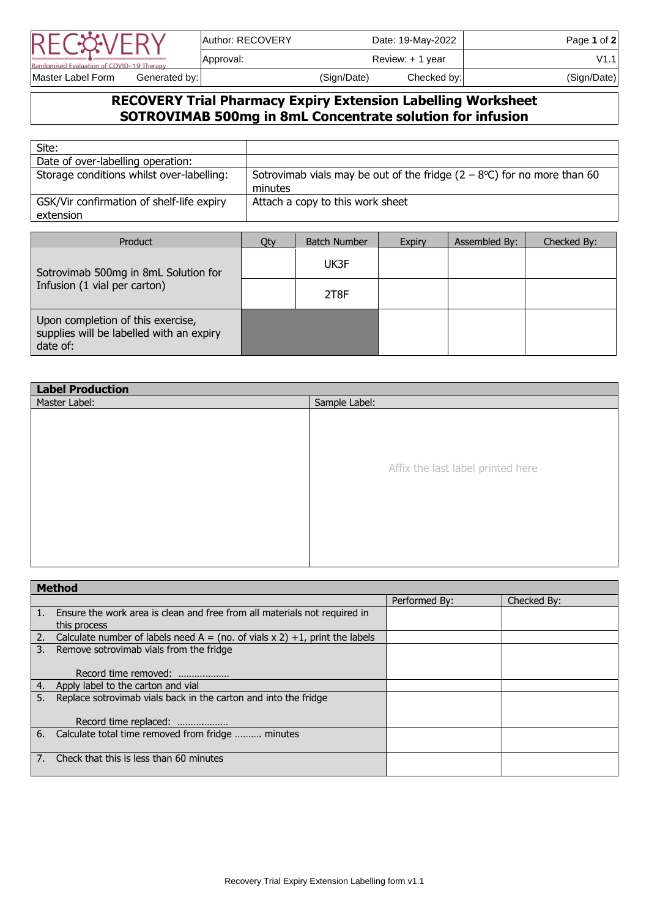|                                           | Author: RECOVERY |                  | Date: 19-May-2022 | Page 1 of 2 |
|-------------------------------------------|------------------|------------------|-------------------|-------------|
| Randomised Evaluation of COVID-19 Therapy | Approval:        | Review: + 1 year |                   | V1.1        |
| Master Label Form<br>Generated by:        |                  | (Sign/Date)      | Checked by:       | (Sign/Date) |

## **RECOVERY Trial Pharmacy Expiry Extension Labelling Worksheet SOTROVIMAB 500mg in 8mL Concentrate solution for infusion**

| Site:                                                  |                                                                                             |
|--------------------------------------------------------|---------------------------------------------------------------------------------------------|
| Date of over-labelling operation:                      |                                                                                             |
| Storage conditions whilst over-labelling:              | Sotrovimab vials may be out of the fridge $(2 - 8^{\circ}C)$ for no more than 60<br>minutes |
| GSK/Vir confirmation of shelf-life expiry<br>extension | Attach a copy to this work sheet                                                            |

| Product                                                                                   | Qty | <b>Batch Number</b> | <b>Expiry</b> | Assembled By: | Checked By: |
|-------------------------------------------------------------------------------------------|-----|---------------------|---------------|---------------|-------------|
| Sotrovimab 500mg in 8mL Solution for                                                      |     | UK3F                |               |               |             |
| Infusion (1 vial per carton)                                                              |     | 2T8F                |               |               |             |
| Upon completion of this exercise,<br>supplies will be labelled with an expiry<br>date of: |     |                     |               |               |             |

| <b>Label Production</b> |                                   |  |  |  |
|-------------------------|-----------------------------------|--|--|--|
| Master Label:           | Sample Label:                     |  |  |  |
|                         |                                   |  |  |  |
|                         |                                   |  |  |  |
|                         |                                   |  |  |  |
|                         |                                   |  |  |  |
|                         | Affix the last label printed here |  |  |  |
|                         |                                   |  |  |  |
|                         |                                   |  |  |  |
|                         |                                   |  |  |  |
|                         |                                   |  |  |  |
|                         |                                   |  |  |  |
|                         |                                   |  |  |  |
|                         |                                   |  |  |  |

|    | <b>Method</b>                                                                             |               |             |
|----|-------------------------------------------------------------------------------------------|---------------|-------------|
|    |                                                                                           | Performed By: | Checked By: |
|    | Ensure the work area is clean and free from all materials not required in<br>this process |               |             |
| 2. | Calculate number of labels need A = (no. of vials $x$ 2) +1, print the labels             |               |             |
| 3. | Remove sotrovimab vials from the fridge                                                   |               |             |
|    | Record time removed:                                                                      |               |             |
| 4. | Apply label to the carton and vial                                                        |               |             |
| 5. | Replace sotrovimab vials back in the carton and into the fridge                           |               |             |
|    | Record time replaced:                                                                     |               |             |
| 6. | Calculate total time removed from fridge  minutes                                         |               |             |
|    | Check that this is less than 60 minutes                                                   |               |             |